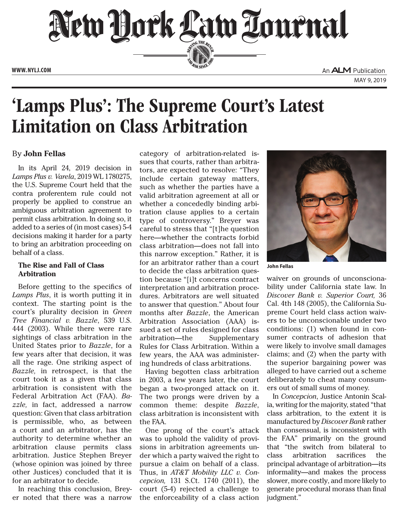

# 'Lamps Plus': The Supreme Court's Latest Limitation on Class Arbitration

## By **John Fellas**

In its April 24, 2019 decision in *Lamps Plus v. Varela*, 2019 WL 1780275, the U.S. Supreme Court held that the contra proferentem rule could not properly be applied to construe an ambiguous arbitration agreement to permit class arbitration. In doing so, it added to a series of (in most cases) 5-4 decisions making it harder for a party to bring an arbitration proceeding on behalf of a class.

## **The Rise and Fall of Class Arbitration**

Before getting to the specifics of *Lamps Plus*, it is worth putting it in context. The starting point is the court's plurality decision in *Green Tree Financial v. Bazzle*, 539 U.S. 444 (2003). While there were rare sightings of class arbitration in the United States prior to *Bazzle*, for a few years after that decision, it was all the rage. One striking aspect of *Bazzle,* in retrospect, is that the court took it as a given that class arbitration is consistent with the Federal Arbitration Act (FAA). *Bazzle,* in fact, addressed a narrow question: Given that class arbitration is permissible, who, as between a court and an arbitrator, has the authority to determine whether an arbitration clause permits class arbitration. Justice Stephen Breyer (whose opinion was joined by three other Justices) concluded that it is for an arbitrator to decide.

In reaching this conclusion, Breyer noted that there was a narrow category of arbitration-related issues that courts, rather than arbitrators, are expected to resolve: "They include certain gateway matters, such as whether the parties have a valid arbitration agreement at all or whether a concededly binding arbitration clause applies to a certain type of controversy." Breyer was careful to stress that "[t]he question here—whether the contracts forbid class arbitration—does not fall into this narrow exception." Rather, it is for an arbitrator rather than a court to decide the class arbitration question because "[i]t concerns contract interpretation and arbitration procedures. Arbitrators are well situated to answer that question." About four months after *Bazzle*, the American Arbitration Association (AAA) issued a set of rules designed for class arbitration—the Supplementary Rules for Class Arbitration. Within a few years, the AAA was administering hundreds of class arbitrations.

Having begotten class arbitration in 2003, a few years later, the court began a two-pronged attack on it. The two prongs were driven by a common theme: despite *Bazzle*, class arbitration is inconsistent with the FAA.

One prong of the court's attack was to uphold the validity of provisions in arbitration agreements under which a party waived the right to pursue a claim on behalf of a class. Thus, in *AT&T Mobility LLC v. Concepcion,* 131 S.Ct. 1740 (2011), the court (5-4) rejected a challenge to the enforceability of a class action



**John Fellas**

waiver on grounds of unconscionability under California state law. In *Discover Bank v. Superior Court,* 36 Cal. 4th 148 (2005), the California Supreme Court held class action waivers to be unconscionable under two conditions: (1) when found in consumer contracts of adhesion that were likely to involve small damages claims; and (2) when the party with the superior bargaining power was alleged to have carried out a scheme deliberately to cheat many consumers out of small sums of money.

In *Concepcion*, Justice Antonin Scalia, writing for the majority, stated "that class arbitration, to the extent it is manufactured by *Discover Bank* rather than consensual, is inconsistent with the FAA" primarily on the ground that "the switch from bilateral to class arbitration sacrifices the principal advantage of arbitration—its informality—and makes the process slower, more costly, and more likely to generate procedural morass than final judgment."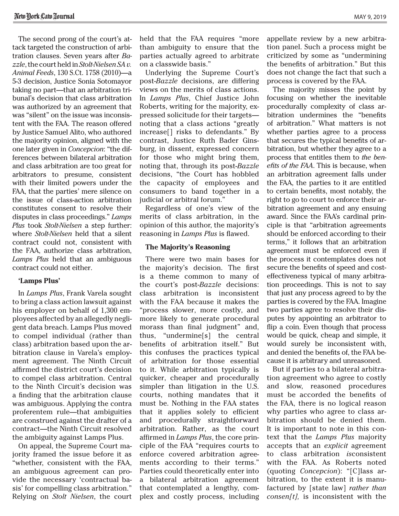The second prong of the court's attack targeted the construction of arbitration clauses. Seven years after *Bazzle*, the court held in *Stolt-Nielsen SA v. Animal Feeds*, 130 S.Ct. 1758 (2010)—a 5-3 decision, Justice Sonia Sotomayor taking no part—that an arbitration tribunal's decision that class arbitration was authorized by an agreement that was "silent" on the issue was inconsistent with the FAA. The reason offered by Justice Samuel Alito, who authored the majority opinion, aligned with the one later given in *Concepcion*: "the differences between bilateral arbitration and class arbitration are too great for arbitrators to presume, consistent with their limited powers under the FAA, that the parties' mere silence on the issue of class-action arbitration constitutes consent to resolve their disputes in class proceedings." *Lamps Plus* took *Stolt-Nielsen* a step further: where *Stolt-Nielsen* held that a silent contract could not, consistent with the FAA, authorize class arbitration, *Lamps Plus* held that an ambiguous contract could not either.

#### **'Lamps Plus'**

In *Lamps Plus*, Frank Varela sought to bring a class action lawsuit against his employer on behalf of 1,300 employees affected by an allegedly negligent data breach. Lamps Plus moved to compel individual (rather than class) arbitration based upon the arbitration clause in Varela's employment agreement. The Ninth Circuit affirmed the district court's decision to compel class arbitration. Central to the Ninth Circuit's decision was a finding that the arbitration clause was ambiguous. Applying the contra proferentem rule—that ambiguities are construed against the drafter of a contract—the Ninth Circuit resolved the ambiguity against Lamps Plus.

On appeal, the Supreme Court majority framed the issue before it as "whether, consistent with the FAA, an ambiguous agreement can provide the necessary 'contractual basis' for compelling class arbitration." Relying on *Stolt Nielsen*, the court held that the FAA requires "more than ambiguity to ensure that the parties actually agreed to arbitrate on a classwide basis."

Underlying the Supreme Court's post-*Bazzle* decisions, are differing views on the merits of class actions. In *Lamps Plus*, Chief Justice John Roberts, writing for the majority, expressed solicitude for their targets noting that a class actions "greatly increase[] risks to defendants." By contrast, Justice Ruth Bader Ginsburg, in dissent, expressed concern for those who might bring them, noting that, through its post-*Bazzle* decisions, "the Court has hobbled the capacity of employees and consumers to band together in a judicial or arbitral forum."

Regardless of one's view of the merits of class arbitration, in the opinion of this author, the majority's reasoning in *Lamps Plus* is flawed.

#### **The Majority's Reasoning**

There were two main bases for the majority's decision. The first is a theme common to many of the court's post-*Bazzle* decisions: class arbitration is inconsistent with the FAA because it makes the "process slower, more costly, and more likely to generate procedural morass than final judgment" and, thus, "undermine[s] the central benefits of arbitration itself." But this confuses the practices typical of arbitration for those essential to it. While arbitration typically is quicker, cheaper and procedurally simpler than litigation in the U.S. courts, nothing mandates that it must be. Nothing in the FAA states that it applies solely to efficient and procedurally straightforward arbitration. Rather, as the court affirmed in *Lamps Plus*, the core principle of the FAA "requires courts to enforce covered arbitration agreements according to their terms." Parties could theoretically enter into a bilateral arbitration agreement that contemplated a lengthy, complex and costly process, including

appellate review by a new arbitration panel. Such a process might be criticized by some as "undermining the benefits of arbitration." But this does not change the fact that such a process is covered by the FAA.

The majority misses the point by focusing on whether the inevitable procedurally complexity of class arbitration undermines the "benefits of arbitration." What matters is not whether parties agree to a process that secures the typical benefits of arbitration, but whether they agree to a process that entitles them to *the benefits of the FAA*. This is because, when an arbitration agreement falls under the FAA, the parties to it are entitled to certain benefits, most notably, the right to go to court to enforce their arbitration agreement and any ensuing award. Since the FAA's cardinal principle is that "arbitration agreements should be enforced according to their terms," it follows that an arbitration agreement must be enforced even if the process it contemplates does not secure the benefits of speed and costeffectiveness typical of many arbitration proceedings. This is not to say that just any process agreed to by the parties is covered by the FAA. Imagine two parties agree to resolve their disputes by appointing an arbitrator to flip a coin. Even though that process would be quick, cheap and simple, it would surely be inconsistent with, and denied the benefits of, the FAA because it is arbitrary and unreasoned.

But if parties to a bilateral arbitration agreement who agree to costly and slow, reasoned procedures must be accorded the benefits of the FAA, there is no logical reason why parties who agree to class arbitration should be denied them. It is important to note in this context that the *Lamps Plus* majority accepts that an *explicit* agreement to class arbitration *is*consistent with the FAA. As Roberts noted (quoting *Concepcion*): "[C]lass arbitration, to the extent it is manufactured by [state law] *rather than consen[t],* is inconsistent with the